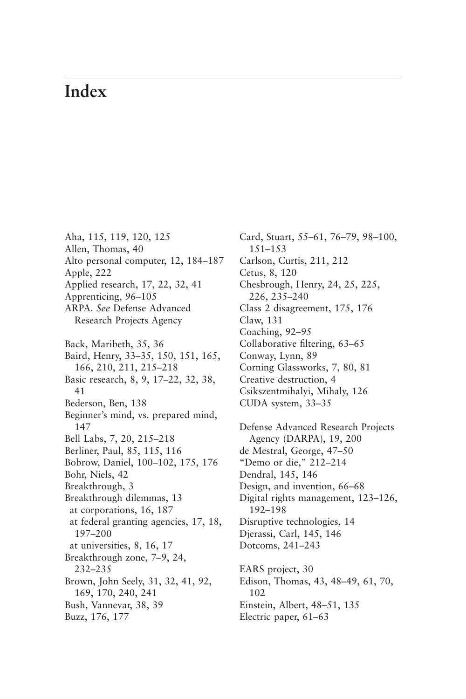## **Index**

Aha, 115, 119, 120, 125 Allen, Thomas, 40 [Alto personal computer, 12, 184–187](#page--1-0) Apple, 222 Applied research, 17, 22, 32, 41 Apprenticing, 96–105 ARPA. *See* Defense Advanced Research Projects Agency Back, Maribeth, 35, 36 Baird, Henry, 33–35, 150, 151, 165, 166, 210, 211, 215–218 Basic research, 8, 9, 17–22, 32, 38, 41 Bederson, Ben, 138 Beginner's mind, vs. prepared mind, 147 Bell Labs, 7, 20, 215–218 Berliner, Paul, 85, 115, 116 Bobrow, Daniel, 100–102, 175, 176 Bohr, Niels, 42 Breakthrough, 3 Breakthrough dilemmas, 13 at corporations, 16, 187 at federal granting agencies, 17, 18, 197–200 at universities, 8, 16, 17 Breakthrough zone, 7–9, 24, 232–235 Brown, John Seely, 31, 32, 41, 92, 169, 170, 240, 241 Bush, Vannevar, 38, 39 Buzz, 176, 177

Card, Stuart, 55–61, 76–79, 98–100, 151–153 Carlson, Curtis, 211, 212 Cetus, 8, 120 Chesbrough, Henry, 24, 25, 225, 226, 235–240 Class 2 disagreement, 175, 176 Claw, 131 Coaching, 92–95 Collaborative filtering, 63–65 Conway, Lynn, 89 Corning Glassworks, 7, 80, 81 Creative destruction, 4 Csikszentmihalyi, Mihaly, 126 CUDA system, 33–35 Defense Advanced Research Projects Agency (DARPA), 19, 200 de Mestral, George, 47–50 "Demo or die," 212–214 Dendral, 145, 146 Design, and invention, 66–68 Digital rights management, 123–126, 192–198 Disruptive technologies, 14 Djerassi, Carl, 145, 146 Dotcoms, 241–243 EARS project, 30 Edison, Thomas, 43, 48–49, 61, 70, 102 Einstein, Albert, 48–51, 135

Electric paper, 61–63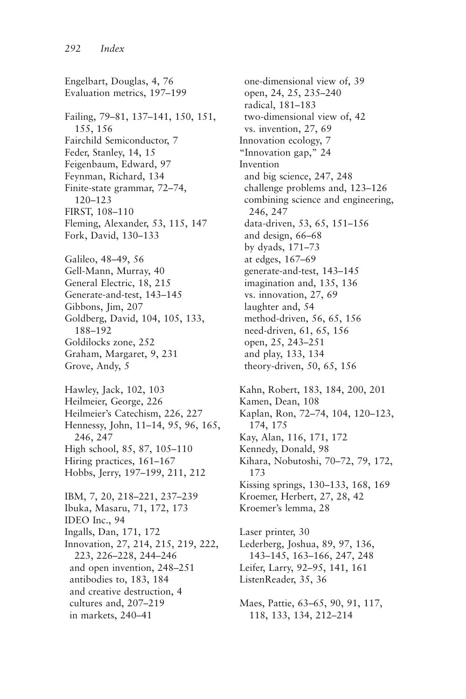Engelbart, Douglas, 4, 76 Evaluation metrics, 197–199 Failing, 79–81, 137–141, 150, 151, 155, 156 Fairchild Semiconductor, 7 Feder, Stanley, 14, 15 Feigenbaum, Edward, 97 Feynman, Richard, 134 Finite-state grammar, 72–74, 120–123 FIRST, 108–110 Fleming, Alexander, 53, 115, 147 Fork, David, 130–133 Galileo, 48–49, 56 Gell-Mann, Murray, 40 General Electric, 18, 215 Generate-and-test, 143–145 Gibbons, Jim, 207 Goldberg, David, 104, 105, 133, 188–192 Goldilocks zone, 252 Graham, Margaret, 9, 231 Grove, Andy, 5 Hawley, Jack, 102, 103 Heilmeier, George, 226 Heilmeier's Catechism, 226, 227 Hennessy, John, 11–14, 95, 96, 165, 246, 247 High school, 85, 87, 105–110 Hiring practices, 161–167 Hobbs, Jerry, 197–199, 211, 212 IBM, 7, 20, 218–221, 237–239 Ibuka, Masaru, 71, 172, 173 IDEO Inc., 94 Ingalls, Dan, 171, 172 Innovation, 27, 214, 215, 219, 222, 223, 226–228, 244–246 and open invention, 248–251 antibodies to, 183, 184 and creative destruction, 4 cultures and, 207–219 in markets, 240–41

one-dimensional view of, 39 open, 24, 25, 235–240 radical, 181–183 two-dimensional view of, 42 vs. invention, 27, 69 Innovation ecology, 7 "Innovation gap," 24 Invention and big science, 247, 248 challenge problems and, 123–126 combining science and engineering, 246, 247 data-driven, 53, 65, 151–156 and design, 66–68 by dyads, 171–73 at edges, 167–69 generate-and-test, 143–145 imagination and, 135, 136 vs. innovation, 27, 69 laughter and, 54 method-driven, 56, 65, 156 need-driven, 61, 65, 156 open, 25, 243–251 and play, 133, 134 theory-driven, 50, 65, 156 Kahn, Robert, 183, 184, 200, 201 Kamen, Dean, 108 Kaplan, Ron, 72–74, 104, 120–123, 174, 175 Kay, Alan, 116, 171, 172

Kennedy, Donald, 98 Kihara, Nobutoshi, 70–72, 79, 172, 173 Kissing springs, 130–133, 168, 169 Kroemer, Herbert, 27, 28, 42 Kroemer's lemma, 28

Laser printer, 30 Lederberg, Joshua, 89, 97, 136, 143–145, 163–166, 247, 248 Leifer, Larry, 92–95, 141, 161 ListenReader, 35, 36

Maes, Pattie, 63–65, 90, 91, 117, 118, 133, 134, 212–214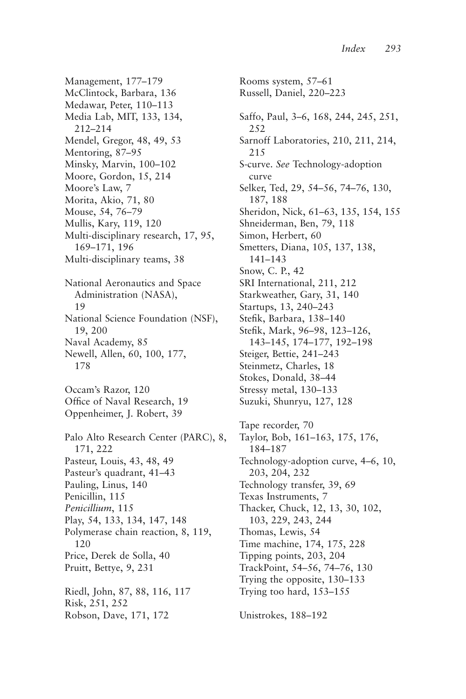Management, 177–179 McClintock, Barbara, 136 Medawar, Peter, 110–113 Media Lab, MIT, 133, 134, 212–214 Mendel, Gregor, 48, 49, 53 Mentoring, 87–95 Minsky, Marvin, 100–102 Moore, Gordon, 15, 214 Moore's Law, 7 Morita, Akio, 71, 80 Mouse, 54, 76–79 Mullis, Kary, 119, 120 Multi-disciplinary research, 17, 95, 169–171, 196 Multi-disciplinary teams, 38 National Aeronautics and Space Administration (NASA), 19 National Science Foundation (NSF), 19, 200 Naval Academy, 85 Newell, Allen, 60, 100, 177, 178 Occam's Razor, 120 Office of Naval Research, 19 Oppenheimer, J. Robert, 39 Palo Alto Research Center (PARC), 8, 171, 222 Pasteur, Louis, 43, 48, 49 Pasteur's quadrant, 41–43 Pauling, Linus, 140 Penicillin, 115 *Penicillium*, 115 Play, 54, 133, 134, 147, 148 Polymerase chain reaction, 8, 119, 120 Price, Derek de Solla, 40 Pruitt, Bettye, 9, 231 Riedl, John, 87, 88, 116, 117 Risk, 251, 252 Robson, Dave, 171, 172

Rooms system, 57–61 Russell, Daniel, 220–223 Saffo, Paul, 3–6, 168, 244, 245, 251, 252 Sarnoff Laboratories, 210, 211, 214, 215 S-curve. *See* Technology-adoption curve Selker, Ted, 29, 54–56, 74–76, 130, 187, 188 Sheridon, Nick, 61–63, 135, 154, 155 Shneiderman, Ben, 79, 118 Simon, Herbert, 60 Smetters, Diana, 105, 137, 138, 141–143 Snow, C. P., 42 SRI International, 211, 212 Starkweather, Gary, 31, 140 Startups, 13, 240–243 Stefik, Barbara, 138–140 Stefik, Mark, 96–98, 123–126, 143–145, 174–177, 192–198 Steiger, Bettie, 241–243 Steinmetz, Charles, 18 Stokes, Donald, 38–44 Stressy metal, 130–133 Suzuki, Shunryu, 127, 128 Tape recorder, 70 Taylor, Bob, 161–163, 175, 176, 184–187 Technology-adoption curve, 4–6, 10, 203, 204, 232 Technology transfer, 39, 69 Texas Instruments, 7 Thacker, Chuck, 12, 13, 30, 102, 103, 229, 243, 244 Thomas, Lewis, 54 Time machine, 174, 175, 228 Tipping points, 203, 204 TrackPoint, 54–56, 74–76, 130 Trying the opposite, 130–133 Trying too hard, 153–155 Unistrokes, 188–192